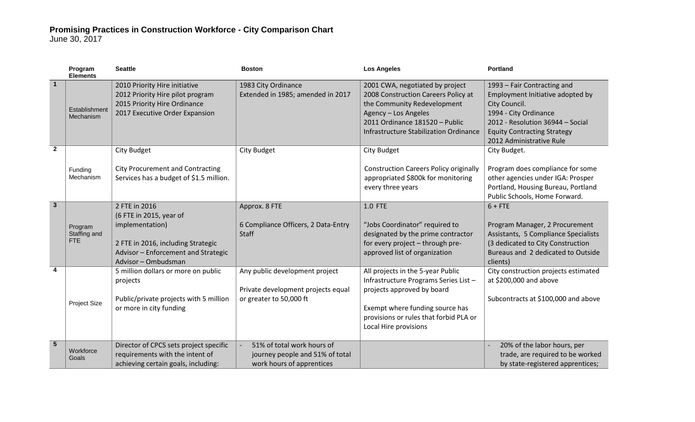## **Promising Practices in Construction Workforce - City Comparison Chart**

June 30, 2017

|                | Program<br><b>Elements</b>     | <b>Seattle</b>                                                                                                                                                  | <b>Boston</b>                                                                                   | <b>Los Angeles</b>                                                                                                                                                                                             | <b>Portland</b>                                                                                                                                                                                                 |
|----------------|--------------------------------|-----------------------------------------------------------------------------------------------------------------------------------------------------------------|-------------------------------------------------------------------------------------------------|----------------------------------------------------------------------------------------------------------------------------------------------------------------------------------------------------------------|-----------------------------------------------------------------------------------------------------------------------------------------------------------------------------------------------------------------|
| $\overline{1}$ | Establishment<br>Mechanism     | 2010 Priority Hire initiative<br>2012 Priority Hire pilot program<br>2015 Priority Hire Ordinance<br>2017 Executive Order Expansion                             | 1983 City Ordinance<br>Extended in 1985; amended in 2017                                        | 2001 CWA, negotiated by project<br>2008 Construction Careers Policy at<br>the Community Redevelopment<br>Agency - Los Angeles<br>2011 Ordinance 181520 - Public<br>Infrastructure Stabilization Ordinance      | 1993 - Fair Contracting and<br>Employment Initiative adopted by<br>City Council.<br>1994 - City Ordinance<br>2012 - Resolution 36944 - Social<br><b>Equity Contracting Strategy</b><br>2012 Administrative Rule |
| $\mathbf{2}$   |                                | <b>City Budget</b>                                                                                                                                              | City Budget                                                                                     | City Budget                                                                                                                                                                                                    | City Budget.                                                                                                                                                                                                    |
|                | Funding<br>Mechanism           | <b>City Procurement and Contracting</b><br>Services has a budget of \$1.5 million.                                                                              |                                                                                                 | <b>Construction Careers Policy originally</b><br>appropriated \$800k for monitoring<br>every three years                                                                                                       | Program does compliance for some<br>other agencies under IGA: Prosper<br>Portland, Housing Bureau, Portland<br>Public Schools, Home Forward.                                                                    |
| $\overline{3}$ | Program<br>Staffing and<br>FTE | 2 FTE in 2016<br>(6 FTE in 2015, year of<br>implementation)<br>2 FTE in 2016, including Strategic<br>Advisor - Enforcement and Strategic<br>Advisor - Ombudsman | Approx. 8 FTE<br>6 Compliance Officers, 2 Data-Entry<br>Staff                                   | 1.0 FTE<br>"Jobs Coordinator" required to<br>designated by the prime contractor<br>for every project - through pre-<br>approved list of organization                                                           | $6 + FTE$<br>Program Manager, 2 Procurement<br>Assistants, 5 Compliance Specialists<br>(3 dedicated to City Construction<br>Bureaus and 2 dedicated to Outside<br>clients)                                      |
| 4              | Project Size                   | 5 million dollars or more on public<br>projects<br>Public/private projects with 5 million<br>or more in city funding                                            | Any public development project<br>Private development projects equal<br>or greater to 50,000 ft | All projects in the 5-year Public<br>Infrastructure Programs Series List -<br>projects approved by board<br>Exempt where funding source has<br>provisions or rules that forbid PLA or<br>Local Hire provisions | City construction projects estimated<br>at \$200,000 and above<br>Subcontracts at \$100,000 and above                                                                                                           |
| 5              | Workforce<br>Goals             | Director of CPCS sets project specific<br>requirements with the intent of<br>achieving certain goals, including:                                                | 51% of total work hours of<br>journey people and 51% of total<br>work hours of apprentices      |                                                                                                                                                                                                                | 20% of the labor hours, per<br>trade, are required to be worked<br>by state-registered apprentices;                                                                                                             |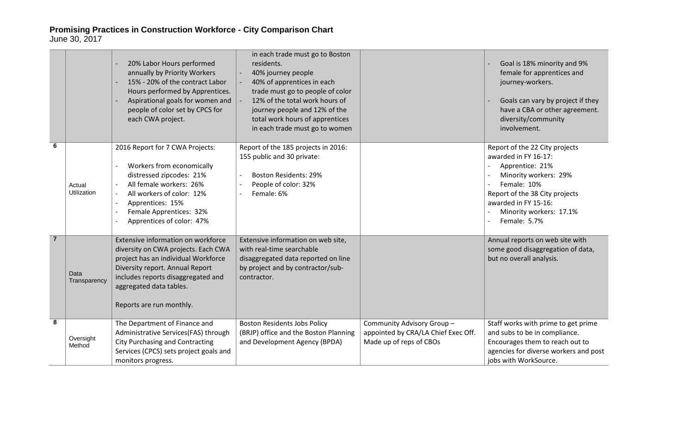**Promising Practices in Construction Workforce - City Comparison Chart** June 30, 2017

|                 |                       | 20% Labor Hours performed<br>annually by Priority Workers<br>15% - 20% of the contract Labor<br>Hours performed by Apprentices.<br>Aspirational goals for women and<br>people of color set by CPCS for<br>each CWA project.                      | in each trade must go to Boston<br>residents.<br>40% journey people<br>40% of apprentices in each<br>trade must go to people of color<br>12% of the total work hours of<br>journey people and 12% of the<br>total work hours of apprentices<br>in each trade must go to women |                                                                                             | Goal is 18% minority and 9%<br>female for apprentices and<br>journey-workers.<br>Goals can vary by project if they<br>have a CBA or other agreement.<br>diversity/community<br>involvement.                            |
|-----------------|-----------------------|--------------------------------------------------------------------------------------------------------------------------------------------------------------------------------------------------------------------------------------------------|-------------------------------------------------------------------------------------------------------------------------------------------------------------------------------------------------------------------------------------------------------------------------------|---------------------------------------------------------------------------------------------|------------------------------------------------------------------------------------------------------------------------------------------------------------------------------------------------------------------------|
| $6\phantom{1}6$ | Actual<br>Utilization | 2016 Report for 7 CWA Projects:<br>Workers from economically<br>distressed zipcodes: 21%<br>All female workers: 26%<br>All workers of color: 12%<br>Apprentices: 15%<br>Female Apprentices: 32%<br>Apprentices of color: 47%                     | Report of the 185 projects in 2016:<br>155 public and 30 private:<br><b>Boston Residents: 29%</b><br>People of color: 32%<br>Female: 6%                                                                                                                                       |                                                                                             | Report of the 22 City projects<br>awarded in FY 16-17:<br>Apprentice: 21%<br>Minority workers: 29%<br>Female: 10%<br>Report of the 38 City projects<br>awarded in FY 15-16:<br>Minority workers: 17.1%<br>Female: 5.7% |
| $\overline{7}$  | Data<br>Transparency  | Extensive information on workforce<br>diversity on CWA projects. Each CWA<br>project has an individual Workforce<br>Diversity report. Annual Report<br>includes reports disaggregated and<br>aggregated data tables.<br>Reports are run monthly. | Extensive information on web site,<br>with real-time searchable<br>disaggregated data reported on line<br>by project and by contractor/sub-<br>contractor.                                                                                                                    |                                                                                             | Annual reports on web site with<br>some good disaggregation of data,<br>but no overall analysis.                                                                                                                       |
| 8               | Oversight<br>Method   | The Department of Finance and<br>Administrative Services(FAS) through<br><b>City Purchasing and Contracting</b><br>Services (CPCS) sets project goals and<br>monitors progress.                                                                  | <b>Boston Residents Jobs Policy</b><br>(BRJP) office and the Boston Planning<br>and Development Agency (BPDA)                                                                                                                                                                 | Community Advisory Group-<br>appointed by CRA/LA Chief Exec Off.<br>Made up of reps of CBOs | Staff works with prime to get prime<br>and subs to be in compliance.<br>Encourages them to reach out to<br>agencies for diverse workers and post<br>jobs with WorkSource.                                              |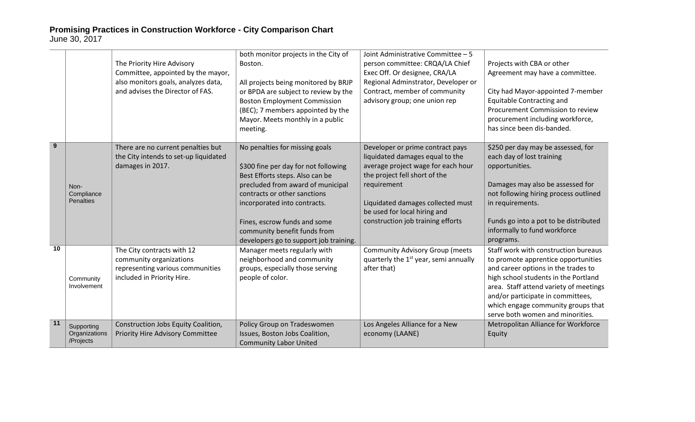## **Promising Practices in Construction Workforce - City Comparison Chart** June 30, 2017

|    |                                          | The Priority Hire Advisory<br>Committee, appointed by the mayor,<br>also monitors goals, analyzes data,<br>and advises the Director of FAS. | both monitor projects in the City of<br>Boston.<br>All projects being monitored by BRJP<br>or BPDA are subject to review by the<br><b>Boston Employment Commission</b><br>(BEC); 7 members appointed by the<br>Mayor. Meets monthly in a public<br>meeting.                                                              | Joint Administrative Committee - 5<br>person committee: CRQA/LA Chief<br>Exec Off. Or designee, CRA/LA<br>Regional Adminstrator, Developer or<br>Contract, member of community<br>advisory group; one union rep                                                     | Projects with CBA or other<br>Agreement may have a committee.<br>City had Mayor-appointed 7-member<br>Equitable Contracting and<br>Procurement Commission to review<br>procurement including workforce,<br>has since been dis-banded.                                                                               |
|----|------------------------------------------|---------------------------------------------------------------------------------------------------------------------------------------------|--------------------------------------------------------------------------------------------------------------------------------------------------------------------------------------------------------------------------------------------------------------------------------------------------------------------------|---------------------------------------------------------------------------------------------------------------------------------------------------------------------------------------------------------------------------------------------------------------------|---------------------------------------------------------------------------------------------------------------------------------------------------------------------------------------------------------------------------------------------------------------------------------------------------------------------|
| 9  | Non-<br>Compliance<br>Penalties          | There are no current penalties but<br>the City intends to set-up liquidated<br>damages in 2017.                                             | No penalties for missing goals<br>\$300 fine per day for not following<br>Best Efforts steps. Also can be<br>precluded from award of municipal<br>contracts or other sanctions<br>incorporated into contracts.<br>Fines, escrow funds and some<br>community benefit funds from<br>developers go to support job training. | Developer or prime contract pays<br>liquidated damages equal to the<br>average project wage for each hour<br>the project fell short of the<br>requirement<br>Liquidated damages collected must<br>be used for local hiring and<br>construction job training efforts | \$250 per day may be assessed, for<br>each day of lost training<br>opportunities.<br>Damages may also be assessed for<br>not following hiring process outlined<br>in requirements.<br>Funds go into a pot to be distributed<br>informally to fund workforce<br>programs.                                            |
| 10 | Community<br>Involvement                 | The City contracts with 12<br>community organizations<br>representing various communities<br>included in Priority Hire.                     | Manager meets regularly with<br>neighborhood and community<br>groups, especially those serving<br>people of color.                                                                                                                                                                                                       | <b>Community Advisory Group (meets</b><br>quarterly the 1 <sup>st</sup> year, semi annually<br>after that)                                                                                                                                                          | Staff work with construction bureaus<br>to promote apprentice opportunities<br>and career options in the trades to<br>high school students in the Portland<br>area. Staff attend variety of meetings<br>and/or participate in committees,<br>which engage community groups that<br>serve both women and minorities. |
| 11 | Supporting<br>Organizations<br>/Projects | Construction Jobs Equity Coalition,<br>Priority Hire Advisory Committee                                                                     | Policy Group on Tradeswomen<br>Issues, Boston Jobs Coalition,<br><b>Community Labor United</b>                                                                                                                                                                                                                           | Los Angeles Alliance for a New<br>economy (LAANE)                                                                                                                                                                                                                   | Metropolitan Alliance for Workforce<br>Equity                                                                                                                                                                                                                                                                       |